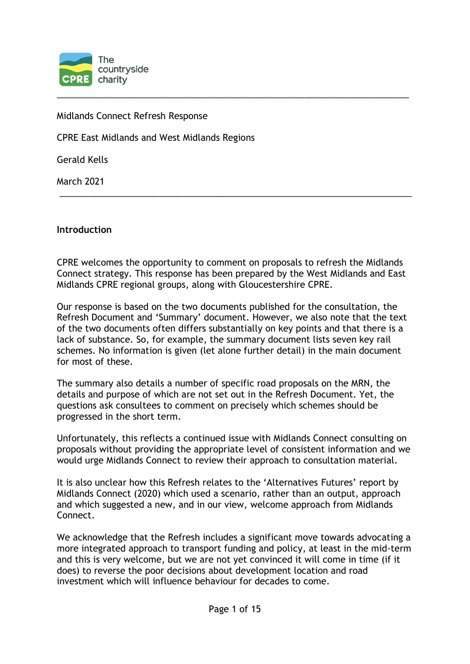

Midlands Connect Refresh Response

CPRE East Midlands and West Midlands Regions

Gerald Kells

March 2021

**Introduction**

CPRE welcomes the opportunity to comment on proposals to refresh the Midlands Connect strategy. This response has been prepared by the West Midlands and East Midlands CPRE regional groups, along with Gloucestershire CPRE.

\_\_\_\_\_\_\_\_\_\_\_\_\_\_\_\_\_\_\_\_\_\_\_\_\_\_\_\_\_\_\_\_\_\_\_\_\_\_\_\_\_\_\_\_\_\_\_\_\_\_\_\_\_\_\_\_\_\_\_\_\_\_\_\_\_\_\_\_\_\_\_

\_\_\_\_\_\_\_\_\_\_\_\_\_\_\_\_\_\_\_\_\_\_\_\_\_\_\_\_\_\_\_\_\_\_\_\_\_\_\_\_\_\_\_\_\_\_\_\_\_\_\_\_\_\_\_\_\_\_\_\_\_\_\_\_\_\_\_\_\_\_\_

Our response is based on the two documents published for the consultation, the Refresh Document and 'Summary' document. However, we also note that the text of the two documents often differs substantially on key points and that there is a lack of substance. So, for example, the summary document lists seven key rail schemes. No information is given (let alone further detail) in the main document for most of these.

The summary also details a number of specific road proposals on the MRN, the details and purpose of which are not set out in the Refresh Document. Yet, the questions ask consultees to comment on precisely which schemes should be progressed in the short term.

Unfortunately, this reflects a continued issue with Midlands Connect consulting on proposals without providing the appropriate level of consistent information and we would urge Midlands Connect to review their approach to consultation material.

It is also unclear how this Refresh relates to the 'Alternatives Futures' report by Midlands Connect (2020) which used a scenario, rather than an output, approach and which suggested a new, and in our view, welcome approach from Midlands Connect.

We acknowledge that the Refresh includes a significant move towards advocating a more integrated approach to transport funding and policy, at least in the mid-term and this is very welcome, but we are not yet convinced it will come in time (if it does) to reverse the poor decisions about development location and road investment which will influence behaviour for decades to come.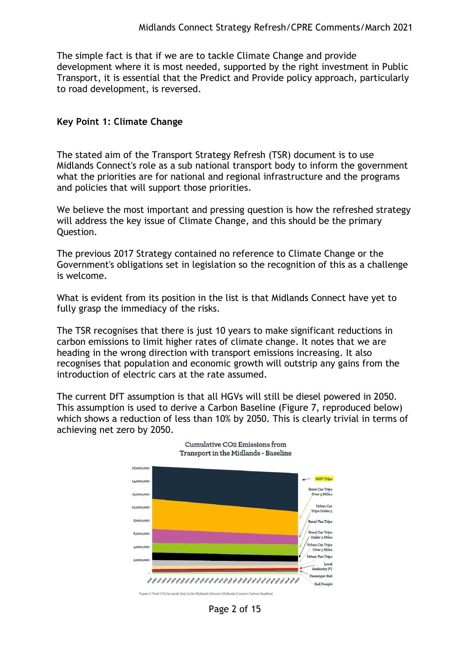The simple fact is that if we are to tackle Climate Change and provide development where it is most needed, supported by the right investment in Public Transport, it is essential that the Predict and Provide policy approach, particularly to road development, is reversed.

#### **Key Point 1: Climate Change**

The stated aim of the Transport Strategy Refresh (TSR) document is to use Midlands Connect's role as a sub national transport body to inform the government what the priorities are for national and regional infrastructure and the programs and policies that will support those priorities.

We believe the most important and pressing question is how the refreshed strategy will address the key issue of Climate Change, and this should be the primary Question.

The previous 2017 Strategy contained no reference to Climate Change or the Government's obligations set in legislation so the recognition of this as a challenge is welcome.

What is evident from its position in the list is that Midlands Connect have yet to fully grasp the immediacy of the risks.

The TSR recognises that there is just 10 years to make significant reductions in carbon emissions to limit higher rates of climate change. It notes that we are heading in the wrong direction with transport emissions increasing. It also recognises that population and economic growth will outstrip any gains from the introduction of electric cars at the rate assumed.

The current DfT assumption is that all HGVs will still be diesel powered in 2050. This assumption is used to derive a Carbon Baseline (Figure 7, reproduced below) which shows a reduction of less than 10% by 2050. This is clearly trivial in terms of achieving net zero by 2050.





Page 2 of 15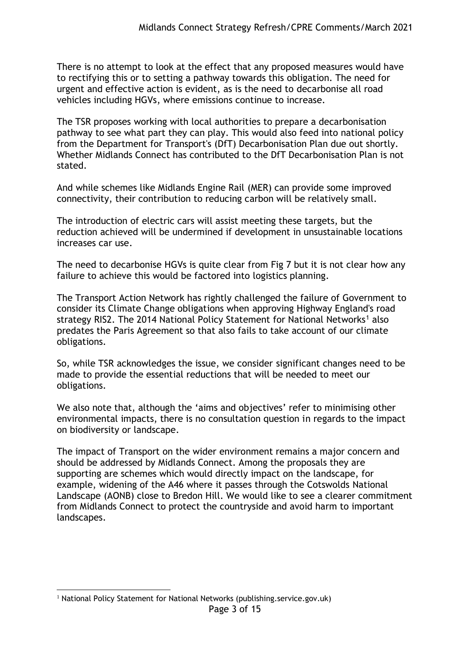There is no attempt to look at the effect that any proposed measures would have to rectifying this or to setting a pathway towards this obligation. The need for urgent and effective action is evident, as is the need to decarbonise all road vehicles including HGVs, where emissions continue to increase.

The TSR proposes working with local authorities to prepare a decarbonisation pathway to see what part they can play. This would also feed into national policy from the Department for Transport's (DfT) Decarbonisation Plan due out shortly. Whether Midlands Connect has contributed to the DfT Decarbonisation Plan is not stated.

And while schemes like Midlands Engine Rail (MER) can provide some improved connectivity, their contribution to reducing carbon will be relatively small.

The introduction of electric cars will assist meeting these targets, but the reduction achieved will be undermined if development in unsustainable locations increases car use.

The need to decarbonise HGVs is quite clear from Fig 7 but it is not clear how any failure to achieve this would be factored into logistics planning.

The Transport Action Network has rightly challenged the failure of Government to consider its Climate Change obligations when approving Highway England's road strategy RIS2. The 2014 National Policy Statement for National Networks<sup>1</sup> also predates the Paris Agreement so that also fails to take account of our climate obligations.

So, while TSR acknowledges the issue, we consider significant changes need to be made to provide the essential reductions that will be needed to meet our obligations.

We also note that, although the 'aims and objectives' refer to minimising other environmental impacts, there is no consultation question in regards to the impact on biodiversity or landscape.

The impact of Transport on the wider environment remains a major concern and should be addressed by Midlands Connect. Among the proposals they are supporting are schemes which would directly impact on the landscape, for example, widening of the A46 where it passes through the Cotswolds National Landscape (AONB) close to Bredon Hill. We would like to see a clearer commitment from Midlands Connect to protect the countryside and avoid harm to important landscapes.

<sup>&</sup>lt;sup>1</sup> [National Policy Statement for National Networks \(publishing.service.gov.uk\)](about:blank)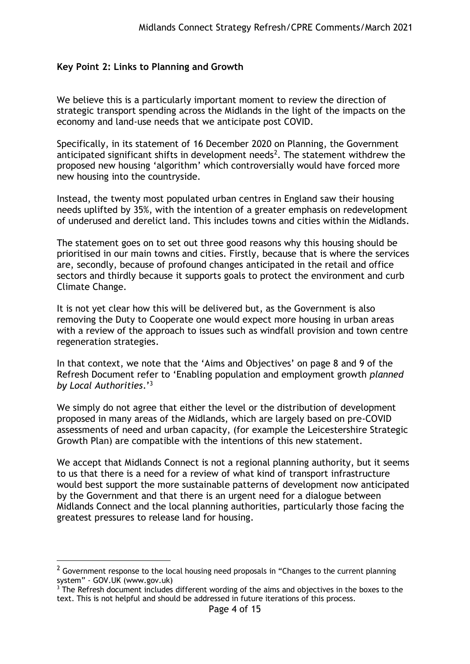## **Key Point 2: Links to Planning and Growth**

We believe this is a particularly important moment to review the direction of strategic transport spending across the Midlands in the light of the impacts on the economy and land-use needs that we anticipate post COVID.

Specifically, in its statement of 16 December 2020 on Planning, the Government anticipated significant shifts in development needs<sup>2</sup>. The statement withdrew the proposed new housing 'algorithm' which controversially would have forced more new housing into the countryside.

Instead, the twenty most populated urban centres in England saw their housing needs uplifted by 35%, with the intention of a greater emphasis on redevelopment of underused and derelict land. This includes towns and cities within the Midlands.

The statement goes on to set out three good reasons why this housing should be prioritised in our main towns and cities. Firstly, because that is where the services are, secondly, because of profound changes anticipated in the retail and office sectors and thirdly because it supports goals to protect the environment and curb Climate Change.

It is not yet clear how this will be delivered but, as the Government is also removing the Duty to Cooperate one would expect more housing in urban areas with a review of the approach to issues such as windfall provision and town centre regeneration strategies.

In that context, we note that the 'Aims and Objectives' on page 8 and 9 of the Refresh Document refer to 'Enabling population and employment growth *planned by Local Authorities*.'<sup>3</sup>

We simply do not agree that either the level or the distribution of development proposed in many areas of the Midlands, which are largely based on pre-COVID assessments of need and urban capacity, (for example the Leicestershire Strategic Growth Plan) are compatible with the intentions of this new statement.

We accept that Midlands Connect is not a regional planning authority, but it seems to us that there is a need for a review of what kind of transport infrastructure would best support the more sustainable patterns of development now anticipated by the Government and that there is an urgent need for a dialogue between Midlands Connect and the local planning authorities, particularly those facing the greatest pressures to release land for housing.

 $2$  [Government response to the local housing need](about:blank) proposals in "Changes to the current planning system" - [GOV.UK \(www.gov.uk\)](about:blank)

<sup>&</sup>lt;sup>3</sup> The Refresh document includes different wording of the aims and objectives in the boxes to the text. This is not helpful and should be addressed in future iterations of this process.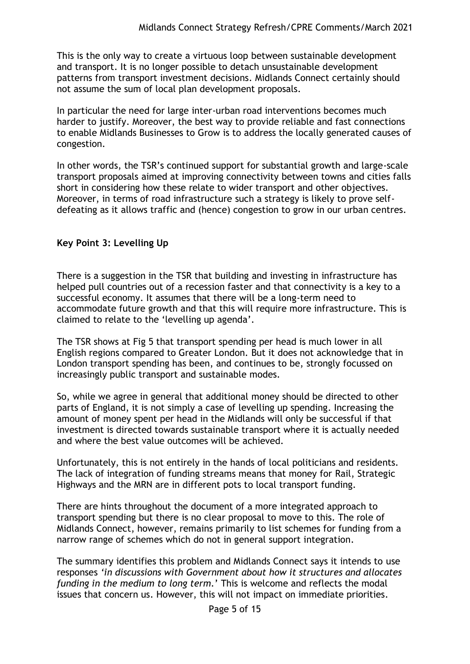This is the only way to create a virtuous loop between sustainable development and transport. It is no longer possible to detach unsustainable development patterns from transport investment decisions. Midlands Connect certainly should not assume the sum of local plan development proposals.

In particular the need for large inter-urban road interventions becomes much harder to justify. Moreover, the best way to provide reliable and fast connections to enable Midlands Businesses to Grow is to address the locally generated causes of congestion.

In other words, the TSR's continued support for substantial growth and large-scale transport proposals aimed at improving connectivity between towns and cities falls short in considering how these relate to wider transport and other objectives. Moreover, in terms of road infrastructure such a strategy is likely to prove selfdefeating as it allows traffic and (hence) congestion to grow in our urban centres.

# **Key Point 3: Levelling Up**

There is a suggestion in the TSR that building and investing in infrastructure has helped pull countries out of a recession faster and that connectivity is a key to a successful economy. It assumes that there will be a long-term need to accommodate future growth and that this will require more infrastructure. This is claimed to relate to the 'levelling up agenda'.

The TSR shows at Fig 5 that transport spending per head is much lower in all English regions compared to Greater London. But it does not acknowledge that in London transport spending has been, and continues to be, strongly focussed on increasingly public transport and sustainable modes.

So, while we agree in general that additional money should be directed to other parts of England, it is not simply a case of levelling up spending. Increasing the amount of money spent per head in the Midlands will only be successful if that investment is directed towards sustainable transport where it is actually needed and where the best value outcomes will be achieved.

Unfortunately, this is not entirely in the hands of local politicians and residents. The lack of integration of funding streams means that money for Rail, Strategic Highways and the MRN are in different pots to local transport funding.

There are hints throughout the document of a more integrated approach to transport spending but there is no clear proposal to move to this. The role of Midlands Connect, however, remains primarily to list schemes for funding from a narrow range of schemes which do not in general support integration.

The summary identifies this problem and Midlands Connect says it intends to use responses *'in discussions with Government about how it structures and allocates funding in the medium to long term.*' This is welcome and reflects the modal issues that concern us. However, this will not impact on immediate priorities.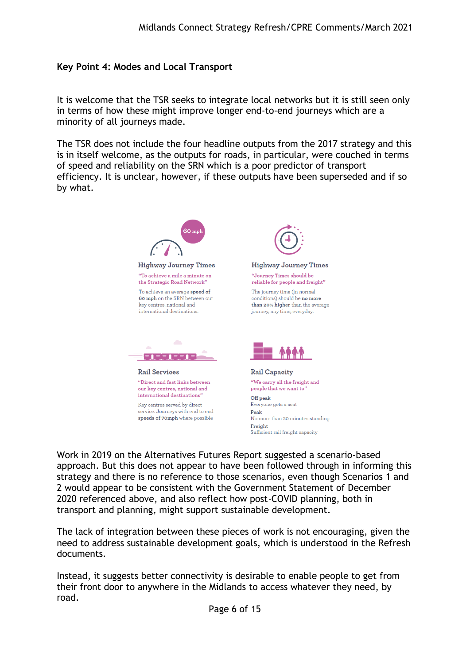# **Key Point 4: Modes and Local Transport**

It is welcome that the TSR seeks to integrate local networks but it is still seen only in terms of how these might improve longer end-to-end journeys which are a minority of all journeys made.

The TSR does not include the four headline outputs from the 2017 strategy and this is in itself welcome, as the outputs for roads, in particular, were couched in terms of speed and reliability on the SRN which is a poor predictor of transport efficiency. It is unclear, however, if these outputs have been superseded and if so by what.



Work in 2019 on the Alternatives Futures Report suggested a scenario-based approach. But this does not appear to have been followed through in informing this strategy and there is no reference to those scenarios, even though Scenarios 1 and 2 would appear to be consistent with the Government Statement of December 2020 referenced above, and also reflect how post-COVID planning, both in transport and planning, might support sustainable development.

The lack of integration between these pieces of work is not encouraging, given the need to address sustainable development goals, which is understood in the Refresh documents.

Instead, it suggests better connectivity is desirable to enable people to get from their front door to anywhere in the Midlands to access whatever they need, by road.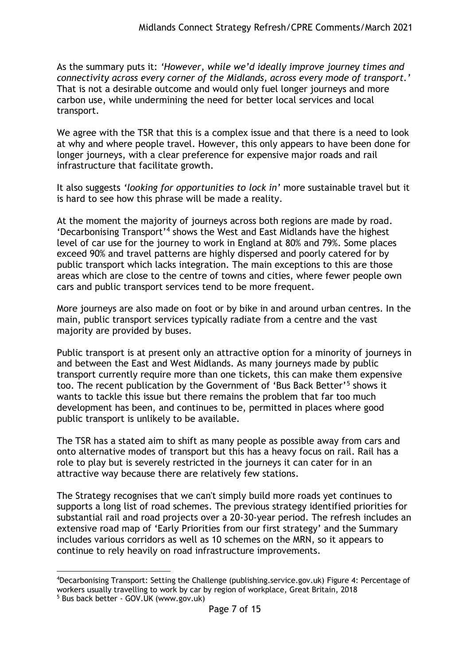As the summary puts it: *'However, while we'd ideally improve journey times and connectivity across every corner of the Midlands, across every mode of transport.'* That is not a desirable outcome and would only fuel longer journeys and more carbon use, while undermining the need for better local services and local transport.

We agree with the TSR that this is a complex issue and that there is a need to look at why and where people travel. However, this only appears to have been done for longer journeys, with a clear preference for expensive major roads and rail infrastructure that facilitate growth.

It also suggests *'looking for opportunities to lock in'* more sustainable travel but it is hard to see how this phrase will be made a reality.

At the moment the majority of journeys across both regions are made by road. 'Decarbonising Transport'<sup>4</sup> shows the West and East Midlands have the highest level of car use for the journey to work in England at 80% and 79%. Some places exceed 90% and travel patterns are highly dispersed and poorly catered for by public transport which lacks integration. The main exceptions to this are those areas which are close to the centre of towns and cities, where fewer people own cars and public transport services tend to be more frequent.

More journeys are also made on foot or by bike in and around urban centres. In the main, public transport services typically radiate from a centre and the vast majority are provided by buses.

Public transport is at present only an attractive option for a minority of journeys in and between the East and West Midlands. As many journeys made by public transport currently require more than one tickets, this can make them expensive too. The recent publication by the Government of 'Bus Back Better'<sup>5</sup> shows it wants to tackle this issue but there remains the problem that far too much development has been, and continues to be, permitted in places where good public transport is unlikely to be available.

The TSR has a stated aim to shift as many people as possible away from cars and onto alternative modes of transport but this has a heavy focus on rail. Rail has a role to play but is severely restricted in the journeys it can cater for in an attractive way because there are relatively few stations.

The Strategy recognises that we can't simply build more roads yet continues to supports a long list of road schemes. The previous strategy identified priorities for substantial rail and road projects over a 20-30-year period. The refresh includes an extensive road map of 'Early Priorities from our first strategy' and the Summary includes various corridors as well as 10 schemes on the MRN, so it appears to continue to rely heavily on road infrastructure improvements.

<sup>4</sup>[Decarbonising Transport: Setting the Challenge \(publishing.service.gov.uk\)](about:blank) Figure 4: Percentage of workers usually travelling to work by car by region of workplace, Great Britain, 2018 <sup>5</sup> Bus back better - [GOV.UK \(www.gov.uk\)](about:blank)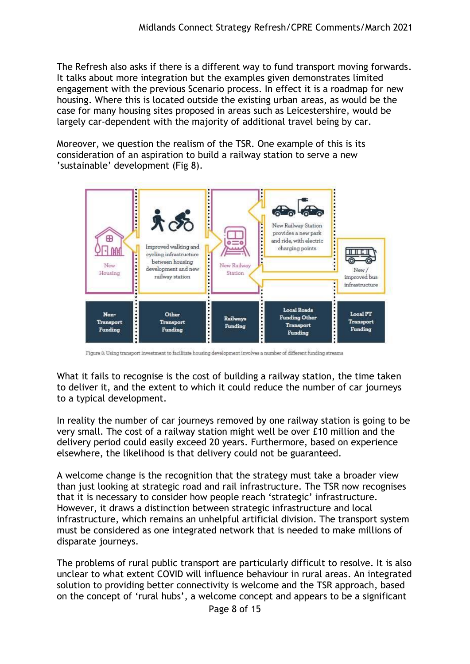The Refresh also asks if there is a different way to fund transport moving forwards. It talks about more integration but the examples given demonstrates limited engagement with the previous Scenario process. In effect it is a roadmap for new housing. Where this is located outside the existing urban areas, as would be the case for many housing sites proposed in areas such as Leicestershire, would be largely car-dependent with the majority of additional travel being by car.

Moreover, we question the realism of the TSR. One example of this is its consideration of an aspiration to build a railway station to serve a new 'sustainable' development (Fig 8).



Figure 8: Using transport investment to facilitate housing development involves a number of different funding streams

What it fails to recognise is the cost of building a railway station, the time taken to deliver it, and the extent to which it could reduce the number of car journeys to a typical development.

In reality the number of car journeys removed by one railway station is going to be very small. The cost of a railway station might well be over £10 million and the delivery period could easily exceed 20 years. Furthermore, based on experience elsewhere, the likelihood is that delivery could not be guaranteed.

A welcome change is the recognition that the strategy must take a broader view than just looking at strategic road and rail infrastructure. The TSR now recognises that it is necessary to consider how people reach 'strategic' infrastructure. However, it draws a distinction between strategic infrastructure and local infrastructure, which remains an unhelpful artificial division. The transport system must be considered as one integrated network that is needed to make millions of disparate journeys.

The problems of rural public transport are particularly difficult to resolve. It is also unclear to what extent COVID will influence behaviour in rural areas. An integrated solution to providing better connectivity is welcome and the TSR approach, based on the concept of 'rural hubs', a welcome concept and appears to be a significant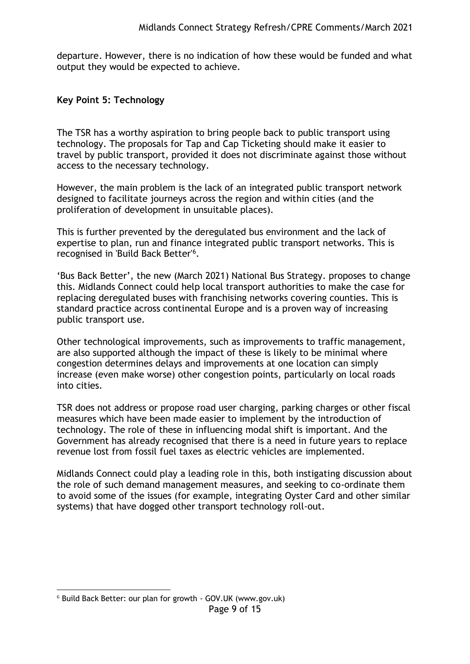departure. However, there is no indication of how these would be funded and what output they would be expected to achieve.

#### **Key Point 5: Technology**

The TSR has a worthy aspiration to bring people back to public transport using technology. The proposals for Tap and Cap Ticketing should make it easier to travel by public transport, provided it does not discriminate against those without access to the necessary technology.

However, the main problem is the lack of an integrated public transport network designed to facilitate journeys across the region and within cities (and the proliferation of development in unsuitable places).

This is further prevented by the deregulated bus environment and the lack of expertise to plan, run and finance integrated public transport networks. This is recognised in 'Build Back Better'<sup>6</sup> .

'Bus Back Better', the new (March 2021) National Bus Strategy. proposes to change this. Midlands Connect could help local transport authorities to make the case for replacing deregulated buses with franchising networks covering counties. This is standard practice across continental Europe and is a proven way of increasing public transport use.

Other technological improvements, such as improvements to traffic management, are also supported although the impact of these is likely to be minimal where congestion determines delays and improvements at one location can simply increase (even make worse) other congestion points, particularly on local roads into cities.

TSR does not address or propose road user charging, parking charges or other fiscal measures which have been made easier to implement by the introduction of technology. The role of these in influencing modal shift is important. And the Government has already recognised that there is a need in future years to replace revenue lost from fossil fuel taxes as electric vehicles are implemented.

Midlands Connect could play a leading role in this, both instigating discussion about the role of such demand management measures, and seeking to co-ordinate them to avoid some of the issues (for example, integrating Oyster Card and other similar systems) that have dogged other transport technology roll-out.

<sup>6</sup> [Build Back Better: our plan for growth -](about:blank) GOV.UK (www.gov.uk)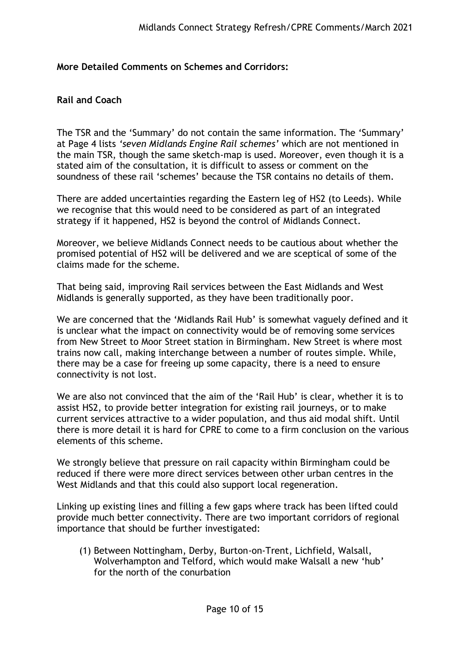# **More Detailed Comments on Schemes and Corridors:**

## **Rail and Coach**

The TSR and the 'Summary' do not contain the same information. The 'Summary' at Page 4 lists *'seven Midlands Engine Rail schemes'* which are not mentioned in the main TSR, though the same sketch-map is used. Moreover, even though it is a stated aim of the consultation, it is difficult to assess or comment on the soundness of these rail 'schemes' because the TSR contains no details of them.

There are added uncertainties regarding the Eastern leg of HS2 (to Leeds). While we recognise that this would need to be considered as part of an integrated strategy if it happened, HS2 is beyond the control of Midlands Connect.

Moreover, we believe Midlands Connect needs to be cautious about whether the promised potential of HS2 will be delivered and we are sceptical of some of the claims made for the scheme.

That being said, improving Rail services between the East Midlands and West Midlands is generally supported, as they have been traditionally poor.

We are concerned that the 'Midlands Rail Hub' is somewhat vaguely defined and it is unclear what the impact on connectivity would be of removing some services from New Street to Moor Street station in Birmingham. New Street is where most trains now call, making interchange between a number of routes simple. While, there may be a case for freeing up some capacity, there is a need to ensure connectivity is not lost.

We are also not convinced that the aim of the 'Rail Hub' is clear, whether it is to assist HS2, to provide better integration for existing rail journeys, or to make current services attractive to a wider population, and thus aid modal shift. Until there is more detail it is hard for CPRE to come to a firm conclusion on the various elements of this scheme.

We strongly believe that pressure on rail capacity within Birmingham could be reduced if there were more direct services between other urban centres in the West Midlands and that this could also support local regeneration.

Linking up existing lines and filling a few gaps where track has been lifted could provide much better connectivity. There are two important corridors of regional importance that should be further investigated:

(1) Between Nottingham, Derby, Burton-on-Trent, Lichfield, Walsall, Wolverhampton and Telford, which would make Walsall a new 'hub' for the north of the conurbation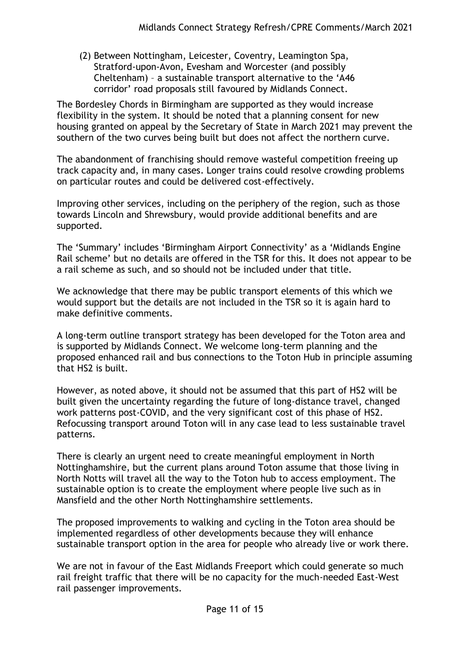(2) Between Nottingham, Leicester, Coventry, Leamington Spa, Stratford-upon-Avon, Evesham and Worcester (and possibly Cheltenham) – a sustainable transport alternative to the 'A46 corridor' road proposals still favoured by Midlands Connect.

The Bordesley Chords in Birmingham are supported as they would increase flexibility in the system. It should be noted that a planning consent for new housing granted on appeal by the Secretary of State in March 2021 may prevent the southern of the two curves being built but does not affect the northern curve.

The abandonment of franchising should remove wasteful competition freeing up track capacity and, in many cases. Longer trains could resolve crowding problems on particular routes and could be delivered cost-effectively.

Improving other services, including on the periphery of the region, such as those towards Lincoln and Shrewsbury, would provide additional benefits and are supported.

The 'Summary' includes 'Birmingham Airport Connectivity' as a 'Midlands Engine Rail scheme' but no details are offered in the TSR for this. It does not appear to be a rail scheme as such, and so should not be included under that title.

We acknowledge that there may be public transport elements of this which we would support but the details are not included in the TSR so it is again hard to make definitive comments.

A long-term outline transport strategy has been developed for the Toton area and is supported by Midlands Connect. We welcome long-term planning and the proposed enhanced rail and bus connections to the Toton Hub in principle assuming that HS2 is built.

However, as noted above, it should not be assumed that this part of HS2 will be built given the uncertainty regarding the future of long-distance travel, changed work patterns post-COVID, and the very significant cost of this phase of HS2. Refocussing transport around Toton will in any case lead to less sustainable travel patterns.

There is clearly an urgent need to create meaningful employment in North Nottinghamshire, but the current plans around Toton assume that those living in North Notts will travel all the way to the Toton hub to access employment. The sustainable option is to create the employment where people live such as in Mansfield and the other North Nottinghamshire settlements.

The proposed improvements to walking and cycling in the Toton area should be implemented regardless of other developments because they will enhance sustainable transport option in the area for people who already live or work there.

We are not in favour of the East Midlands Freeport which could generate so much rail freight traffic that there will be no capacity for the much-needed East-West rail passenger improvements.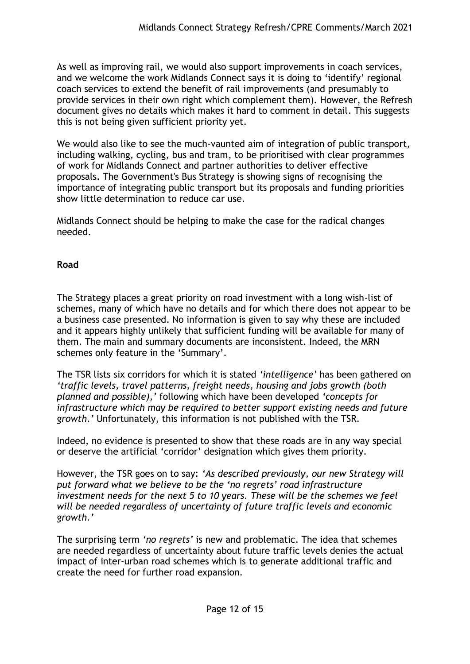As well as improving rail, we would also support improvements in coach services, and we welcome the work Midlands Connect says it is doing to 'identify' regional coach services to extend the benefit of rail improvements (and presumably to provide services in their own right which complement them). However, the Refresh document gives no details which makes it hard to comment in detail. This suggests this is not being given sufficient priority yet.

We would also like to see the much-vaunted aim of integration of public transport, including walking, cycling, bus and tram, to be prioritised with clear programmes of work for Midlands Connect and partner authorities to deliver effective proposals. The Government's Bus Strategy is showing signs of recognising the importance of integrating public transport but its proposals and funding priorities show little determination to reduce car use.

Midlands Connect should be helping to make the case for the radical changes needed.

# **Road**

The Strategy places a great priority on road investment with a long wish-list of schemes, many of which have no details and for which there does not appear to be a business case presented. No information is given to say why these are included and it appears highly unlikely that sufficient funding will be available for many of them. The main and summary documents are inconsistent. Indeed, the MRN schemes only feature in the 'Summary'.

The TSR lists six corridors for which it is stated *'intelligence'* has been gathered on *'traffic levels, travel patterns, freight needs, housing and jobs growth (both planned and possible),'* following which have been developed *'concepts for infrastructure which may be required to better support existing needs and future growth.'* Unfortunately, this information is not published with the TSR.

Indeed, no evidence is presented to show that these roads are in any way special or deserve the artificial 'corridor' designation which gives them priority.

However, the TSR goes on to say: *'As described previously, our new Strategy will put forward what we believe to be the 'no regrets' road infrastructure investment needs for the next 5 to 10 years. These will be the schemes we feel will be needed regardless of uncertainty of future traffic levels and economic growth.'* 

The surprising term *'no regrets'* is new and problematic. The idea that schemes are needed regardless of uncertainty about future traffic levels denies the actual impact of inter-urban road schemes which is to generate additional traffic and create the need for further road expansion.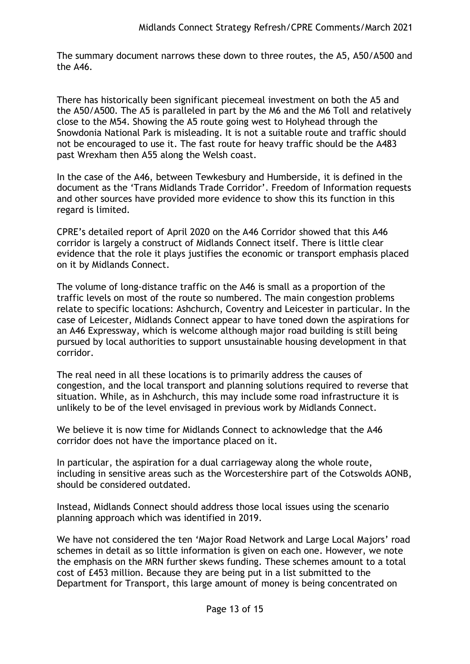The summary document narrows these down to three routes, the A5, A50/A500 and the  $\Delta 46$ 

There has historically been significant piecemeal investment on both the A5 and the A50/A500. The A5 is paralleled in part by the M6 and the M6 Toll and relatively close to the M54. Showing the A5 route going west to Holyhead through the Snowdonia National Park is misleading. It is not a suitable route and traffic should not be encouraged to use it. The fast route for heavy traffic should be the A483 past Wrexham then A55 along the Welsh coast.

In the case of the A46, between Tewkesbury and Humberside, it is defined in the document as the 'Trans Midlands Trade Corridor'. Freedom of Information requests and other sources have provided more evidence to show this its function in this regard is limited.

CPRE's detailed report of April 2020 on the A46 Corridor showed that this A46 corridor is largely a construct of Midlands Connect itself. There is little clear evidence that the role it plays justifies the economic or transport emphasis placed on it by Midlands Connect.

The volume of long-distance traffic on the A46 is small as a proportion of the traffic levels on most of the route so numbered. The main congestion problems relate to specific locations: Ashchurch, Coventry and Leicester in particular. In the case of Leicester, Midlands Connect appear to have toned down the aspirations for an A46 Expressway, which is welcome although major road building is still being pursued by local authorities to support unsustainable housing development in that corridor.

The real need in all these locations is to primarily address the causes of congestion, and the local transport and planning solutions required to reverse that situation. While, as in Ashchurch, this may include some road infrastructure it is unlikely to be of the level envisaged in previous work by Midlands Connect.

We believe it is now time for Midlands Connect to acknowledge that the A46 corridor does not have the importance placed on it.

In particular, the aspiration for a dual carriageway along the whole route, including in sensitive areas such as the Worcestershire part of the Cotswolds AONB, should be considered outdated.

Instead, Midlands Connect should address those local issues using the scenario planning approach which was identified in 2019.

We have not considered the ten 'Major Road Network and Large Local Majors' road schemes in detail as so little information is given on each one. However, we note the emphasis on the MRN further skews funding. These schemes amount to a total cost of £453 million. Because they are being put in a list submitted to the Department for Transport, this large amount of money is being concentrated on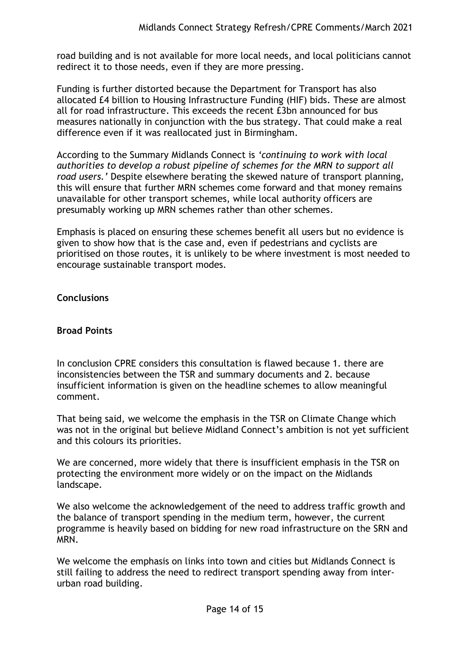road building and is not available for more local needs, and local politicians cannot redirect it to those needs, even if they are more pressing.

Funding is further distorted because the Department for Transport has also allocated £4 billion to Housing Infrastructure Funding (HIF) bids. These are almost all for road infrastructure. This exceeds the recent £3bn announced for bus measures nationally in conjunction with the bus strategy. That could make a real difference even if it was reallocated just in Birmingham.

According to the Summary Midlands Connect is *'continuing to work with local authorities to develop a robust pipeline of schemes for the MRN to support all road users.'* Despite elsewhere berating the skewed nature of transport planning, this will ensure that further MRN schemes come forward and that money remains unavailable for other transport schemes, while local authority officers are presumably working up MRN schemes rather than other schemes.

Emphasis is placed on ensuring these schemes benefit all users but no evidence is given to show how that is the case and, even if pedestrians and cyclists are prioritised on those routes, it is unlikely to be where investment is most needed to encourage sustainable transport modes.

**Conclusions**

#### **Broad Points**

In conclusion CPRE considers this consultation is flawed because 1. there are inconsistencies between the TSR and summary documents and 2. because insufficient information is given on the headline schemes to allow meaningful comment.

That being said, we welcome the emphasis in the TSR on Climate Change which was not in the original but believe Midland Connect's ambition is not yet sufficient and this colours its priorities.

We are concerned, more widely that there is insufficient emphasis in the TSR on protecting the environment more widely or on the impact on the Midlands landscape.

We also welcome the acknowledgement of the need to address traffic growth and the balance of transport spending in the medium term, however, the current programme is heavily based on bidding for new road infrastructure on the SRN and MRN.

We welcome the emphasis on links into town and cities but Midlands Connect is still failing to address the need to redirect transport spending away from interurban road building.